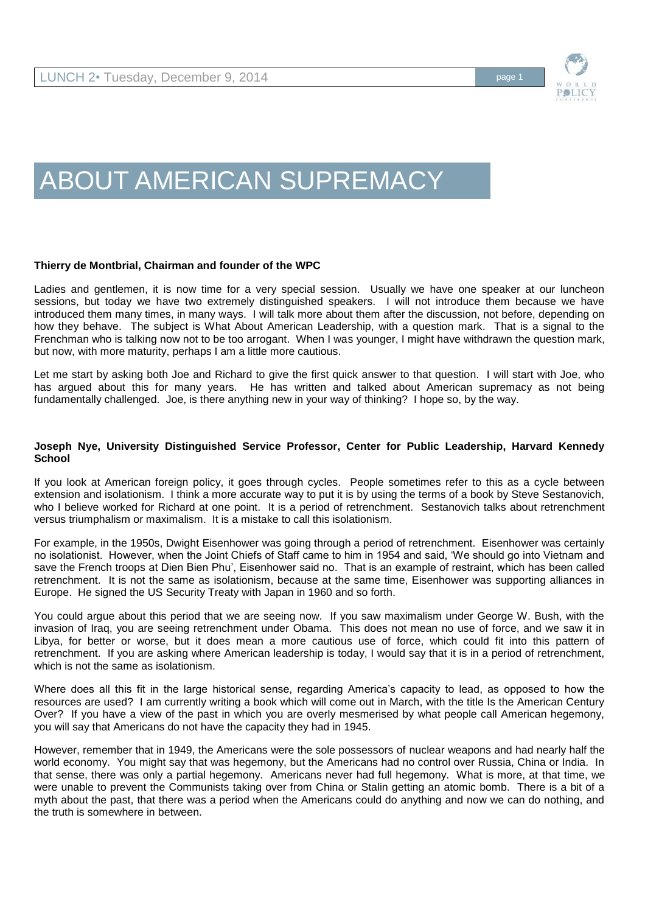

# ABOUT AMERICAN SUPREMACY

## **Thierry de Montbrial, Chairman and founder of the WPC**

Ladies and gentlemen, it is now time for a very special session. Usually we have one speaker at our luncheon sessions, but today we have two extremely distinguished speakers. I will not introduce them because we have introduced them many times, in many ways. I will talk more about them after the discussion, not before, depending on how they behave. The subject is What About American Leadership, with a question mark. That is a signal to the Frenchman who is talking now not to be too arrogant. When I was younger, I might have withdrawn the question mark, but now, with more maturity, perhaps I am a little more cautious.

Let me start by asking both Joe and Richard to give the first quick answer to that question. I will start with Joe, who has argued about this for many years. He has written and talked about American supremacy as not being fundamentally challenged. Joe, is there anything new in your way of thinking? I hope so, by the way.

## **Joseph Nye, University Distinguished Service Professor, Center for Public Leadership, Harvard Kennedy School**

If you look at American foreign policy, it goes through cycles. People sometimes refer to this as a cycle between extension and isolationism. I think a more accurate way to put it is by using the terms of a book by Steve Sestanovich, who I believe worked for Richard at one point. It is a period of retrenchment. Sestanovich talks about retrenchment versus triumphalism or maximalism. It is a mistake to call this isolationism.

For example, in the 1950s, Dwight Eisenhower was going through a period of retrenchment. Eisenhower was certainly no isolationist. However, when the Joint Chiefs of Staff came to him in 1954 and said, 'We should go into Vietnam and save the French troops at Dien Bien Phu', Eisenhower said no. That is an example of restraint, which has been called retrenchment. It is not the same as isolationism, because at the same time, Eisenhower was supporting alliances in Europe. He signed the US Security Treaty with Japan in 1960 and so forth.

You could argue about this period that we are seeing now. If you saw maximalism under George W. Bush, with the invasion of Iraq, you are seeing retrenchment under Obama. This does not mean no use of force, and we saw it in Libya, for better or worse, but it does mean a more cautious use of force, which could fit into this pattern of retrenchment. If you are asking where American leadership is today, I would say that it is in a period of retrenchment, which is not the same as isolationism.

Where does all this fit in the large historical sense, regarding America's capacity to lead, as opposed to how the resources are used? I am currently writing a book which will come out in March, with the title Is the American Century Over? If you have a view of the past in which you are overly mesmerised by what people call American hegemony, you will say that Americans do not have the capacity they had in 1945.

However, remember that in 1949, the Americans were the sole possessors of nuclear weapons and had nearly half the world economy. You might say that was hegemony, but the Americans had no control over Russia, China or India. In that sense, there was only a partial hegemony. Americans never had full hegemony. What is more, at that time, we were unable to prevent the Communists taking over from China or Stalin getting an atomic bomb. There is a bit of a myth about the past, that there was a period when the Americans could do anything and now we can do nothing, and the truth is somewhere in between.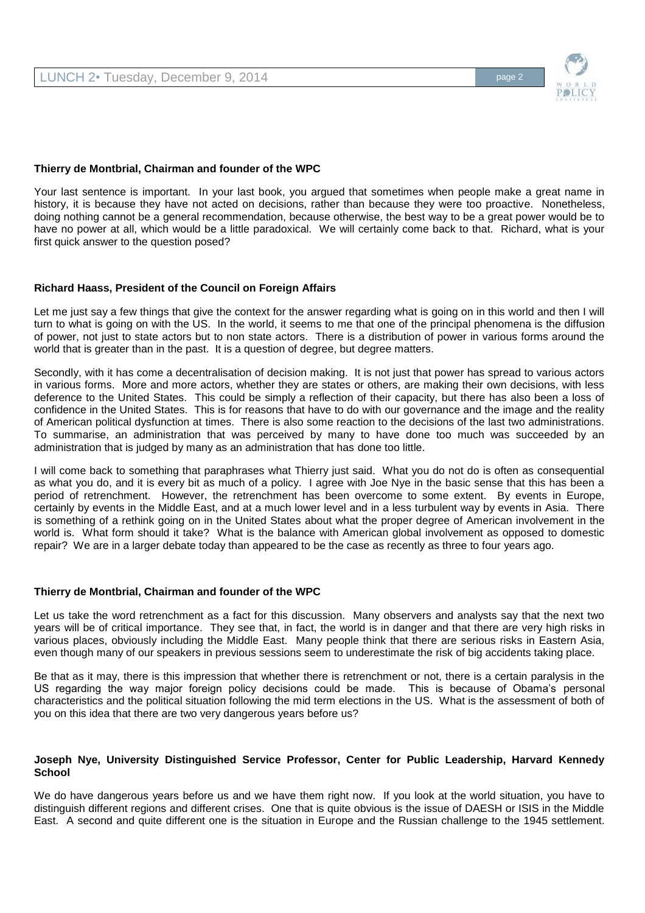

#### **Thierry de Montbrial, Chairman and founder of the WPC**

Your last sentence is important. In your last book, you argued that sometimes when people make a great name in history, it is because they have not acted on decisions, rather than because they were too proactive. Nonetheless, doing nothing cannot be a general recommendation, because otherwise, the best way to be a great power would be to have no power at all, which would be a little paradoxical. We will certainly come back to that. Richard, what is your first quick answer to the question posed?

## **Richard Haass, President of the Council on Foreign Affairs**

Let me just say a few things that give the context for the answer regarding what is going on in this world and then I will turn to what is going on with the US. In the world, it seems to me that one of the principal phenomena is the diffusion of power, not just to state actors but to non state actors. There is a distribution of power in various forms around the world that is greater than in the past. It is a question of degree, but degree matters.

Secondly, with it has come a decentralisation of decision making. It is not just that power has spread to various actors in various forms. More and more actors, whether they are states or others, are making their own decisions, with less deference to the United States. This could be simply a reflection of their capacity, but there has also been a loss of confidence in the United States. This is for reasons that have to do with our governance and the image and the reality of American political dysfunction at times. There is also some reaction to the decisions of the last two administrations. To summarise, an administration that was perceived by many to have done too much was succeeded by an administration that is judged by many as an administration that has done too little.

I will come back to something that paraphrases what Thierry just said. What you do not do is often as consequential as what you do, and it is every bit as much of a policy. I agree with Joe Nye in the basic sense that this has been a period of retrenchment. However, the retrenchment has been overcome to some extent. By events in Europe, certainly by events in the Middle East, and at a much lower level and in a less turbulent way by events in Asia. There is something of a rethink going on in the United States about what the proper degree of American involvement in the world is. What form should it take? What is the balance with American global involvement as opposed to domestic repair? We are in a larger debate today than appeared to be the case as recently as three to four years ago.

#### **Thierry de Montbrial, Chairman and founder of the WPC**

Let us take the word retrenchment as a fact for this discussion. Many observers and analysts say that the next two years will be of critical importance. They see that, in fact, the world is in danger and that there are very high risks in various places, obviously including the Middle East. Many people think that there are serious risks in Eastern Asia, even though many of our speakers in previous sessions seem to underestimate the risk of big accidents taking place.

Be that as it may, there is this impression that whether there is retrenchment or not, there is a certain paralysis in the US regarding the way major foreign policy decisions could be made. This is because of Obama's personal characteristics and the political situation following the mid term elections in the US. What is the assessment of both of you on this idea that there are two very dangerous years before us?

## **Joseph Nye, University Distinguished Service Professor, Center for Public Leadership, Harvard Kennedy School**

We do have dangerous years before us and we have them right now. If you look at the world situation, you have to distinguish different regions and different crises. One that is quite obvious is the issue of DAESH or ISIS in the Middle East. A second and quite different one is the situation in Europe and the Russian challenge to the 1945 settlement.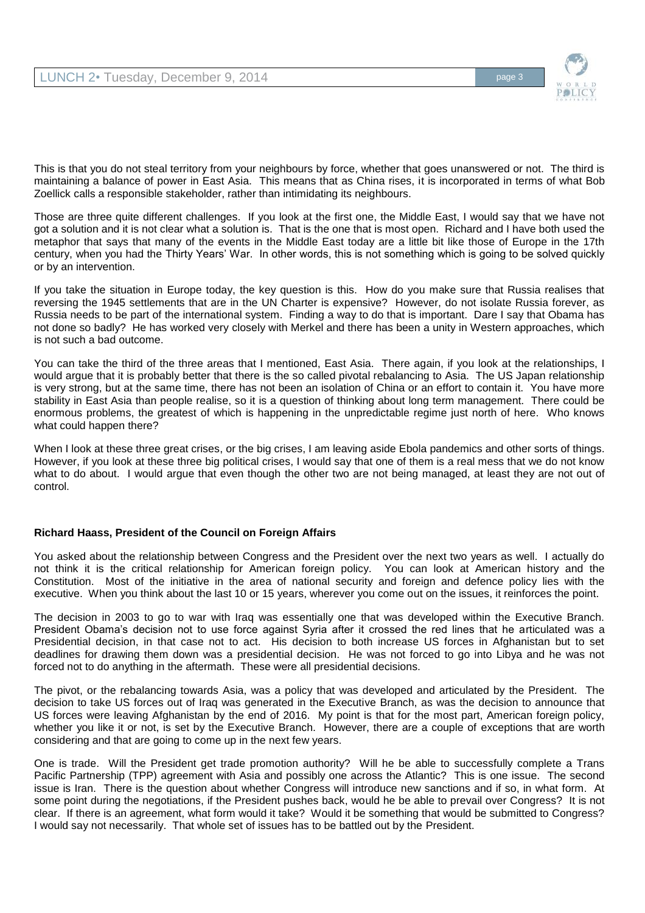

This is that you do not steal territory from your neighbours by force, whether that goes unanswered or not. The third is maintaining a balance of power in East Asia. This means that as China rises, it is incorporated in terms of what Bob Zoellick calls a responsible stakeholder, rather than intimidating its neighbours.

Those are three quite different challenges. If you look at the first one, the Middle East, I would say that we have not got a solution and it is not clear what a solution is. That is the one that is most open. Richard and I have both used the metaphor that says that many of the events in the Middle East today are a little bit like those of Europe in the 17th century, when you had the Thirty Years' War. In other words, this is not something which is going to be solved quickly or by an intervention.

If you take the situation in Europe today, the key question is this. How do you make sure that Russia realises that reversing the 1945 settlements that are in the UN Charter is expensive? However, do not isolate Russia forever, as Russia needs to be part of the international system. Finding a way to do that is important. Dare I say that Obama has not done so badly? He has worked very closely with Merkel and there has been a unity in Western approaches, which is not such a bad outcome.

You can take the third of the three areas that I mentioned, East Asia. There again, if you look at the relationships, I would argue that it is probably better that there is the so called pivotal rebalancing to Asia. The US Japan relationship is very strong, but at the same time, there has not been an isolation of China or an effort to contain it. You have more stability in East Asia than people realise, so it is a question of thinking about long term management. There could be enormous problems, the greatest of which is happening in the unpredictable regime just north of here. Who knows what could happen there?

When I look at these three great crises, or the big crises, I am leaving aside Ebola pandemics and other sorts of things. However, if you look at these three big political crises, I would say that one of them is a real mess that we do not know what to do about. I would argue that even though the other two are not being managed, at least they are not out of control.

## **Richard Haass, President of the Council on Foreign Affairs**

You asked about the relationship between Congress and the President over the next two years as well. I actually do not think it is the critical relationship for American foreign policy. You can look at American history and the Constitution. Most of the initiative in the area of national security and foreign and defence policy lies with the executive. When you think about the last 10 or 15 years, wherever you come out on the issues, it reinforces the point.

The decision in 2003 to go to war with Iraq was essentially one that was developed within the Executive Branch. President Obama's decision not to use force against Syria after it crossed the red lines that he articulated was a Presidential decision, in that case not to act. His decision to both increase US forces in Afghanistan but to set deadlines for drawing them down was a presidential decision. He was not forced to go into Libya and he was not forced not to do anything in the aftermath. These were all presidential decisions.

The pivot, or the rebalancing towards Asia, was a policy that was developed and articulated by the President. The decision to take US forces out of Iraq was generated in the Executive Branch, as was the decision to announce that US forces were leaving Afghanistan by the end of 2016. My point is that for the most part, American foreign policy, whether you like it or not, is set by the Executive Branch. However, there are a couple of exceptions that are worth considering and that are going to come up in the next few years.

One is trade. Will the President get trade promotion authority? Will he be able to successfully complete a Trans Pacific Partnership (TPP) agreement with Asia and possibly one across the Atlantic? This is one issue. The second issue is Iran. There is the question about whether Congress will introduce new sanctions and if so, in what form. At some point during the negotiations, if the President pushes back, would he be able to prevail over Congress? It is not clear. If there is an agreement, what form would it take? Would it be something that would be submitted to Congress? I would say not necessarily. That whole set of issues has to be battled out by the President.